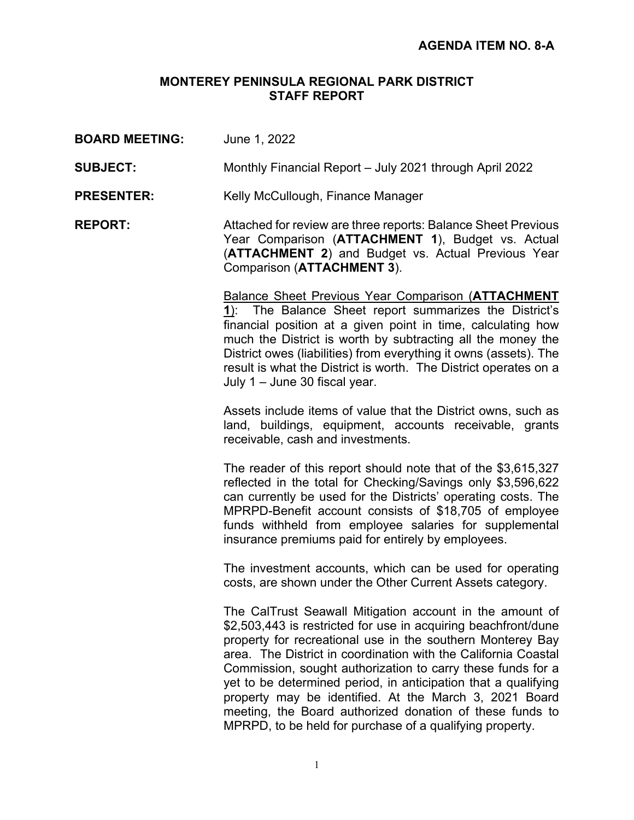# **MONTEREY PENINSULA REGIONAL PARK DISTRICT STAFF REPORT**

**BOARD MEETING:** June 1, 2022 **SUBJECT:** Monthly Financial Report – July 2021 through April 2022 **PRESENTER:** Kelly McCullough, Finance Manager **REPORT:** Attached for review are three reports: Balance Sheet Previous Year Comparison (**ATTACHMENT 1**), Budget vs. Actual (**ATTACHMENT 2**) and Budget vs. Actual Previous Year Comparison (**ATTACHMENT 3**). Balance Sheet Previous Year Comparison (**ATTACHMENT 1**): The Balance Sheet report summarizes the District's financial position at a given point in time, calculating how much the District is worth by subtracting all the money the District owes (liabilities) from everything it owns (assets). The result is what the District is worth. The District operates on a July 1 – June 30 fiscal year. Assets include items of value that the District owns, such as land, buildings, equipment, accounts receivable, grants receivable, cash and investments. The reader of this report should note that of the \$3,615,327 reflected in the total for Checking/Savings only \$3,596,622 can currently be used for the Districts' operating costs. The MPRPD-Benefit account consists of \$18,705 of employee funds withheld from employee salaries for supplemental insurance premiums paid for entirely by employees. The investment accounts, which can be used for operating costs, are shown under the Other Current Assets category. The CalTrust Seawall Mitigation account in the amount of \$2,503,443 is restricted for use in acquiring beachfront/dune property for recreational use in the southern Monterey Bay area. The District in coordination with the California Coastal Commission, sought authorization to carry these funds for a yet to be determined period, in anticipation that a qualifying property may be identified. At the March 3, 2021 Board meeting, the Board authorized donation of these funds to MPRPD, to be held for purchase of a qualifying property.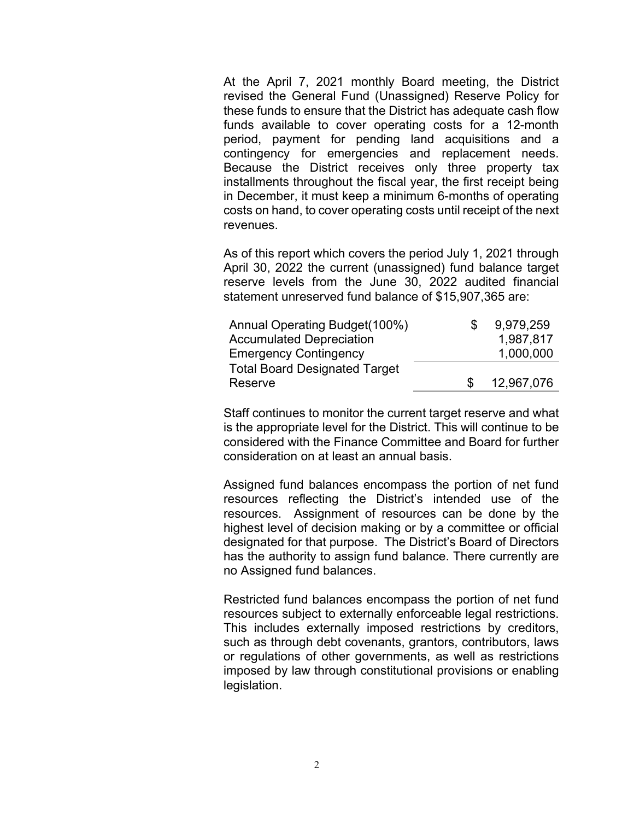At the April 7, 2021 monthly Board meeting, the District revised the General Fund (Unassigned) Reserve Policy for these funds to ensure that the District has adequate cash flow funds available to cover operating costs for a 12-month period, payment for pending land acquisitions and a contingency for emergencies and replacement needs. Because the District receives only three property tax installments throughout the fiscal year, the first receipt being in December, it must keep a minimum 6-months of operating costs on hand, to cover operating costs until receipt of the next revenues.

As of this report which covers the period July 1, 2021 through April 30, 2022 the current (unassigned) fund balance target reserve levels from the June 30, 2022 audited financial statement unreserved fund balance of \$15,907,365 are:

| Annual Operating Budget(100%)        | 9,979,259  |
|--------------------------------------|------------|
| <b>Accumulated Depreciation</b>      | 1,987,817  |
| <b>Emergency Contingency</b>         | 1,000,000  |
| <b>Total Board Designated Target</b> |            |
| Reserve                              | 12,967,076 |

Staff continues to monitor the current target reserve and what is the appropriate level for the District. This will continue to be considered with the Finance Committee and Board for further consideration on at least an annual basis.

Assigned fund balances encompass the portion of net fund resources reflecting the District's intended use of the resources. Assignment of resources can be done by the highest level of decision making or by a committee or official designated for that purpose. The District's Board of Directors has the authority to assign fund balance. There currently are no Assigned fund balances.

Restricted fund balances encompass the portion of net fund resources subject to externally enforceable legal restrictions. This includes externally imposed restrictions by creditors, such as through debt covenants, grantors, contributors, laws or regulations of other governments, as well as restrictions imposed by law through constitutional provisions or enabling legislation.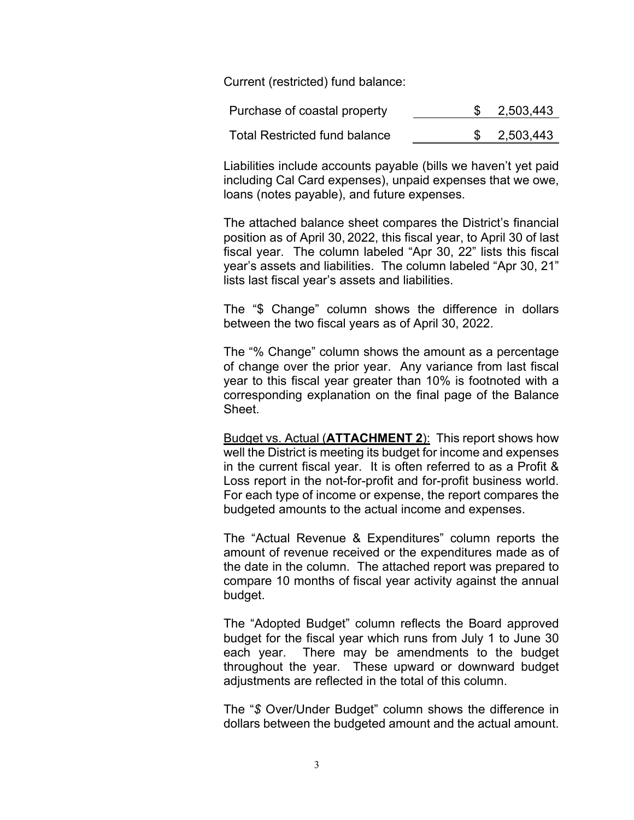Current (restricted) fund balance:

| Purchase of coastal property         | 2,503,443 |
|--------------------------------------|-----------|
| <b>Total Restricted fund balance</b> | 2,503,443 |

Liabilities include accounts payable (bills we haven't yet paid including Cal Card expenses), unpaid expenses that we owe, loans (notes payable), and future expenses.

The attached balance sheet compares the District's financial position as of April 30, 2022, this fiscal year, to April 30 of last fiscal year. The column labeled "Apr 30, 22" lists this fiscal year's assets and liabilities. The column labeled "Apr 30, 21" lists last fiscal year's assets and liabilities.

The "\$ Change" column shows the difference in dollars between the two fiscal years as of April 30, 2022.

The "% Change" column shows the amount as a percentage of change over the prior year. Any variance from last fiscal year to this fiscal year greater than 10% is footnoted with a corresponding explanation on the final page of the Balance Sheet.

Budget vs. Actual (**ATTACHMENT 2**): This report shows how well the District is meeting its budget for income and expenses in the current fiscal year. It is often referred to as a Profit & Loss report in the not-for-profit and for-profit business world. For each type of income or expense, the report compares the budgeted amounts to the actual income and expenses.

The "Actual Revenue & Expenditures" column reports the amount of revenue received or the expenditures made as of the date in the column. The attached report was prepared to compare 10 months of fiscal year activity against the annual budget.

The "Adopted Budget" column reflects the Board approved budget for the fiscal year which runs from July 1 to June 30 each year. There may be amendments to the budget throughout the year. These upward or downward budget adjustments are reflected in the total of this column.

The "*\$* Over/Under Budget" column shows the difference in dollars between the budgeted amount and the actual amount.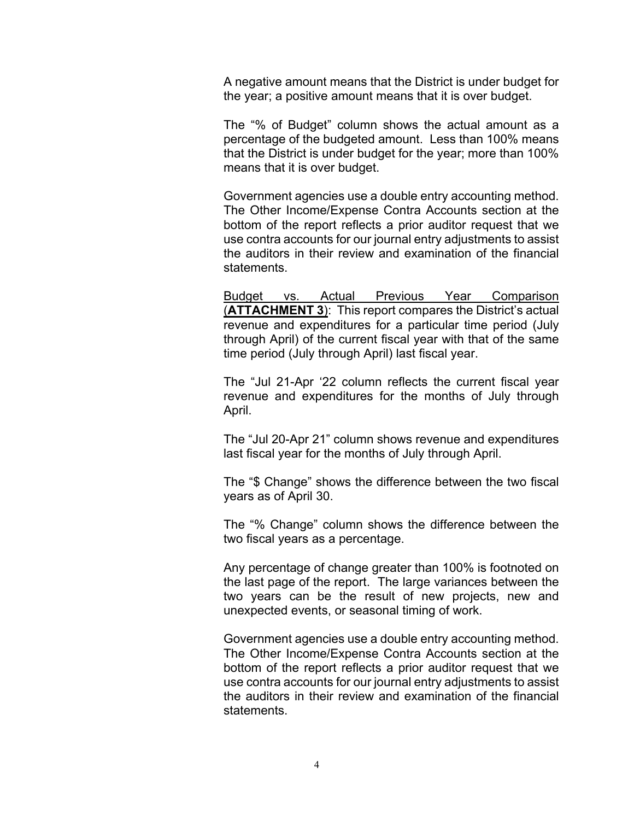A negative amount means that the District is under budget for the year; a positive amount means that it is over budget.

The "% of Budget" column shows the actual amount as a percentage of the budgeted amount. Less than 100% means that the District is under budget for the year; more than 100% means that it is over budget.

Government agencies use a double entry accounting method. The Other Income/Expense Contra Accounts section at the bottom of the report reflects a prior auditor request that we use contra accounts for our journal entry adjustments to assist the auditors in their review and examination of the financial statements.

Budget vs. Actual Previous Year Comparison (**ATTACHMENT 3**): This report compares the District's actual revenue and expenditures for a particular time period (July through April) of the current fiscal year with that of the same time period (July through April) last fiscal year.

The "Jul 21-Apr '22 column reflects the current fiscal year revenue and expenditures for the months of July through April.

The "Jul 20-Apr 21" column shows revenue and expenditures last fiscal year for the months of July through April.

The "\$ Change" shows the difference between the two fiscal years as of April 30.

The "% Change" column shows the difference between the two fiscal years as a percentage.

Any percentage of change greater than 100% is footnoted on the last page of the report. The large variances between the two years can be the result of new projects, new and unexpected events, or seasonal timing of work.

Government agencies use a double entry accounting method. The Other Income/Expense Contra Accounts section at the bottom of the report reflects a prior auditor request that we use contra accounts for our journal entry adjustments to assist the auditors in their review and examination of the financial statements.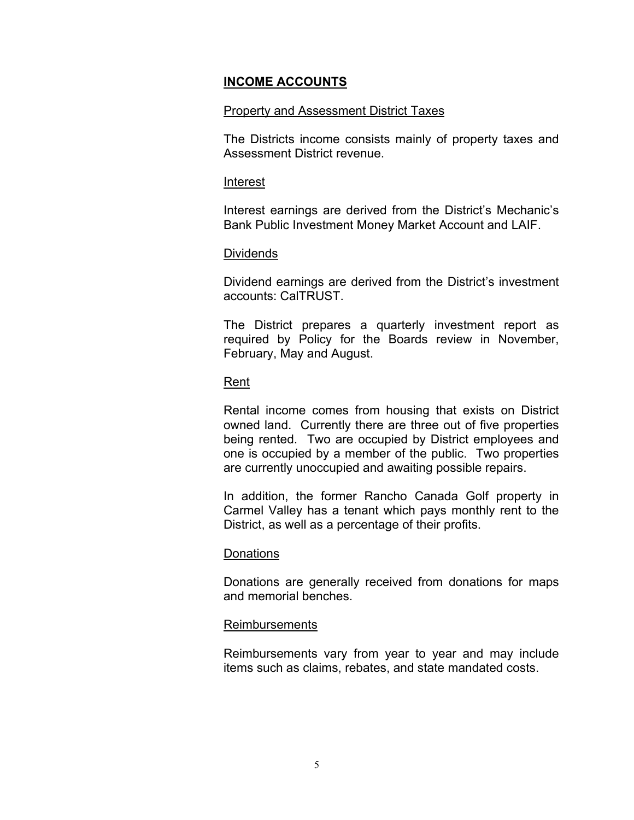### **INCOME ACCOUNTS**

### Property and Assessment District Taxes

The Districts income consists mainly of property taxes and Assessment District revenue.

#### Interest

Interest earnings are derived from the District's Mechanic's Bank Public Investment Money Market Account and LAIF.

### Dividends

Dividend earnings are derived from the District's investment accounts: CalTRUST.

The District prepares a quarterly investment report as required by Policy for the Boards review in November, February, May and August.

# Rent

Rental income comes from housing that exists on District owned land. Currently there are three out of five properties being rented. Two are occupied by District employees and one is occupied by a member of the public. Two properties are currently unoccupied and awaiting possible repairs.

In addition, the former Rancho Canada Golf property in Carmel Valley has a tenant which pays monthly rent to the District, as well as a percentage of their profits.

### **Donations**

Donations are generally received from donations for maps and memorial benches.

### Reimbursements

Reimbursements vary from year to year and may include items such as claims, rebates, and state mandated costs.